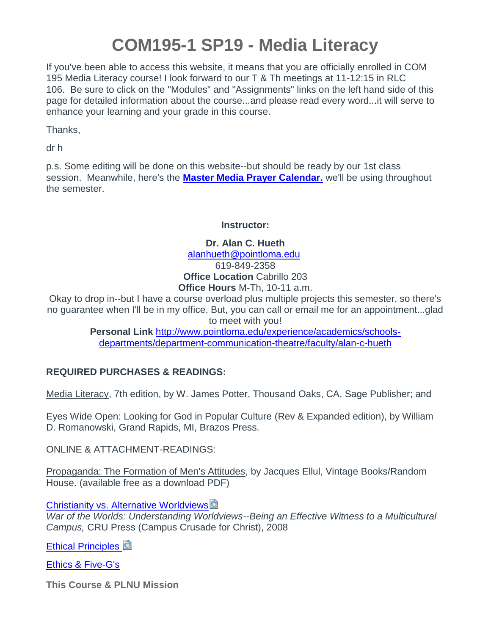# **COM195-1 SP19 - Media Literacy**

If you've been able to access this website, it means that you are officially enrolled in COM 195 Media Literacy course! I look forward to our T & Th meetings at 11-12:15 in RLC 106. Be sure to click on the "Modules" and "Assignments" links on the left hand side of this page for detailed information about the course...and please read every word...it will serve to enhance your learning and your grade in this course.

Thanks,

dr h

p.s. Some editing will be done on this website--but should be ready by our 1st class session. Meanwhile, here's the **Master Media Prayer Calendar.** we'll be using throughout the semester.

#### **Instructor:**

**Dr. Alan C. Hueth** [alanhueth@pointloma.edu](mailto:alanhueth@pointloma.edu) 619-849-2358 **Office Location** Cabrillo 203 **Office Hours** M-Th, 10-11 a.m.

Okay to drop in--but I have a course overload plus multiple projects this semester, so there's no guarantee when I'll be in my office. But, you can call or email me for an appointment...glad to meet with you!

> **Personal Link** [http://www.pointloma.edu/experience/academics/schools](http://www.pointloma.edu/experience/academics/schools-departments/department-communication-theatre/faculty/alan-c-hueth)[departments/department-communication-theatre/faculty/alan-c-hueth](http://www.pointloma.edu/experience/academics/schools-departments/department-communication-theatre/faculty/alan-c-hueth)

#### **REQUIRED PURCHASES & READINGS:**

Media Literacy, 7th edition, by W. James Potter, Thousand Oaks, CA, Sage Publisher; and

Eyes Wide Open: Looking for God in Popular Culture (Rev & Expanded edition), by William D. Romanowski, Grand Rapids, MI, Brazos Press.

ONLINE & ATTACHMENT-READINGS:

Propaganda: The Formation of Men's Attitudes, by Jacques Ellul, Vintage Books/Random House. (available free as a download PDF)

**[Christianity vs. Alternative Worldviews](https://canvas.pointloma.edu/courses/42832/files/2301408/download?wrap=1)** 

*War of the Worlds: Understanding Worldviews--Being an Effective Witness to a Multicultural Campus,* CRU Press (Campus Crusade for Christ), 2008

**[Ethical Principles](https://canvas.pointloma.edu/courses/42832/files/2301499/download?wrap=1)** 

[Ethics & Five-G's](https://canvas.pointloma.edu/courses/42832/files/2301498/download?wrap=1)

**This Course & PLNU Mission**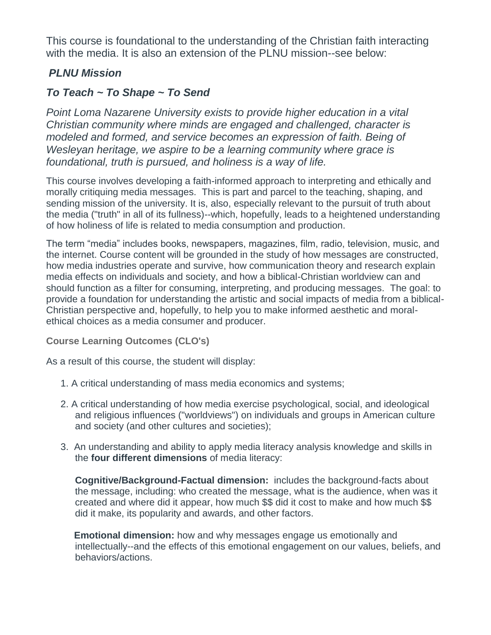This course is foundational to the understanding of the Christian faith interacting with the media. It is also an extension of the PLNU mission--see below:

# *PLNU Mission*

# *To Teach ~ To Shape ~ To Send*

*Point Loma Nazarene University exists to provide higher education in a vital Christian community where minds are engaged and challenged, character is modeled and formed, and service becomes an expression of faith. Being of Wesleyan heritage, we aspire to be a learning community where grace is foundational, truth is pursued, and holiness is a way of life.*

This course involves developing a faith-informed approach to interpreting and ethically and morally critiquing media messages. This is part and parcel to the teaching, shaping, and sending mission of the university. It is, also, especially relevant to the pursuit of truth about the media ("truth" in all of its fullness)--which, hopefully, leads to a heightened understanding of how holiness of life is related to media consumption and production.

The term "media" includes books, newspapers, magazines, film, radio, television, music, and the internet. Course content will be grounded in the study of how messages are constructed, how media industries operate and survive, how communication theory and research explain media effects on individuals and society, and how a biblical-Christian worldview can and should function as a filter for consuming, interpreting, and producing messages. The goal: to provide a foundation for understanding the artistic and social impacts of media from a biblical-Christian perspective and, hopefully, to help you to make informed aesthetic and moralethical choices as a media consumer and producer.

**Course Learning Outcomes (CLO's)**

As a result of this course, the student will display:

- 1. A critical understanding of mass media economics and systems;
- 2. A critical understanding of how media exercise psychological, social, and ideological and religious influences ("worldviews") on individuals and groups in American culture and society (and other cultures and societies);
- 3. An understanding and ability to apply media literacy analysis knowledge and skills in the **four different dimensions** of media literacy:

**Cognitive/Background-Factual dimension:** includes the background-facts about the message, including: who created the message, what is the audience, when was it created and where did it appear, how much \$\$ did it cost to make and how much \$\$ did it make, its popularity and awards, and other factors.

**Emotional dimension:** how and why messages engage us emotionally and intellectually--and the effects of this emotional engagement on our values, beliefs, and behaviors/actions.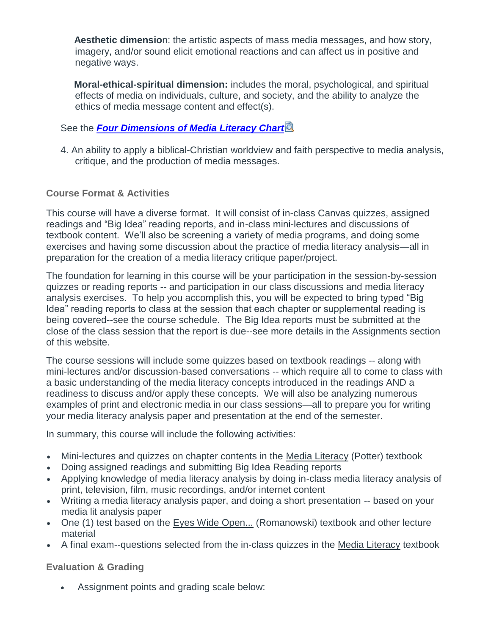**Aesthetic dimensio**n: the artistic aspects of mass media messages, and how story, imagery, and/or sound elicit emotional reactions and can affect us in positive and negative ways.

**Moral-ethical-spiritual dimension:** includes the moral, psychological, and spiritual effects of media on individuals, culture, and society, and the ability to analyze the ethics of media message content and effect(s).

#### See the *[Four Dimensions of Media Literacy Chart](https://canvas.pointloma.edu/courses/42832/files/2301437/download?wrap=1)*

4. An ability to apply a biblical-Christian worldview and faith perspective to media analysis, critique, and the production of media messages.

#### **Course Format & Activities**

This course will have a diverse format. It will consist of in-class Canvas quizzes, assigned readings and "Big Idea" reading reports, and in-class mini-lectures and discussions of textbook content. We'll also be screening a variety of media programs, and doing some exercises and having some discussion about the practice of media literacy analysis—all in preparation for the creation of a media literacy critique paper/project.

The foundation for learning in this course will be your participation in the session-by-session quizzes or reading reports -- and participation in our class discussions and media literacy analysis exercises. To help you accomplish this, you will be expected to bring typed "Big Idea" reading reports to class at the session that each chapter or supplemental reading is being covered--see the course schedule. The Big Idea reports must be submitted at the close of the class session that the report is due--see more details in the Assignments section of this website.

The course sessions will include some quizzes based on textbook readings -- along with mini-lectures and/or discussion-based conversations -- which require all to come to class with a basic understanding of the media literacy concepts introduced in the readings AND a readiness to discuss and/or apply these concepts. We will also be analyzing numerous examples of print and electronic media in our class sessions—all to prepare you for writing your media literacy analysis paper and presentation at the end of the semester.

In summary, this course will include the following activities:

- Mini-lectures and quizzes on chapter contents in the Media Literacy (Potter) textbook
- Doing assigned readings and submitting Big Idea Reading reports
- Applying knowledge of media literacy analysis by doing in-class media literacy analysis of print, television, film, music recordings, and/or internet content
- Writing a media literacy analysis paper, and doing a short presentation -- based on your media lit analysis paper
- One (1) test based on the Eyes Wide Open... (Romanowski) textbook and other lecture material
- A final exam--questions selected from the in-class quizzes in the Media Literacy textbook

**Evaluation & Grading**

Assignment points and grading scale below: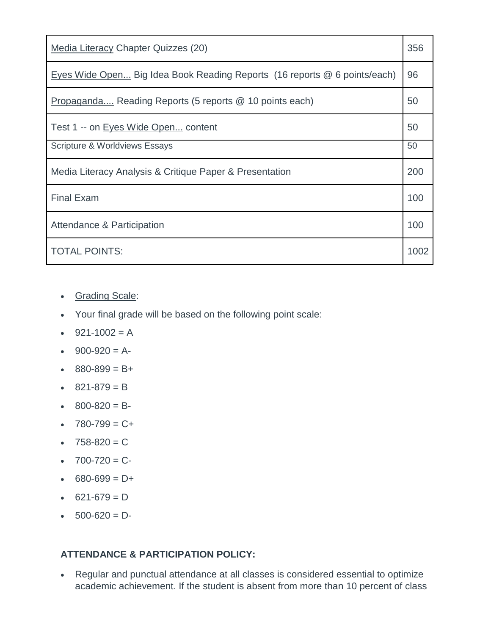| <b>Media Literacy Chapter Quizzes (20)</b>                                | 356  |
|---------------------------------------------------------------------------|------|
| Eyes Wide Open Big Idea Book Reading Reports (16 reports @ 6 points/each) | 96   |
| Propaganda Reading Reports (5 reports @ 10 points each)                   | 50   |
| Test 1 -- on Eyes Wide Open content                                       | 50   |
| <b>Scripture &amp; Worldviews Essays</b>                                  | 50   |
| Media Literacy Analysis & Critique Paper & Presentation                   | 200  |
| <b>Final Exam</b>                                                         | 100  |
| Attendance & Participation                                                | 100  |
| <b>TOTAL POINTS:</b>                                                      | 1002 |

- Grading Scale:
- Your final grade will be based on the following point scale:
- $921-1002 = A$
- $900-920 = A$
- $880-899 = B +$
- $821-879 = B$
- $\cdot$  800-820 = B-
- $-780-799 = C +$
- $-758-820 = C$
- $-700-720 = C$
- $680-699 = D +$
- $621-679 = D$
- $-500-620 = D$

#### **ATTENDANCE & PARTICIPATION POLICY:**

 Regular and punctual attendance at all classes is considered essential to optimize academic achievement. If the student is absent from more than 10 percent of class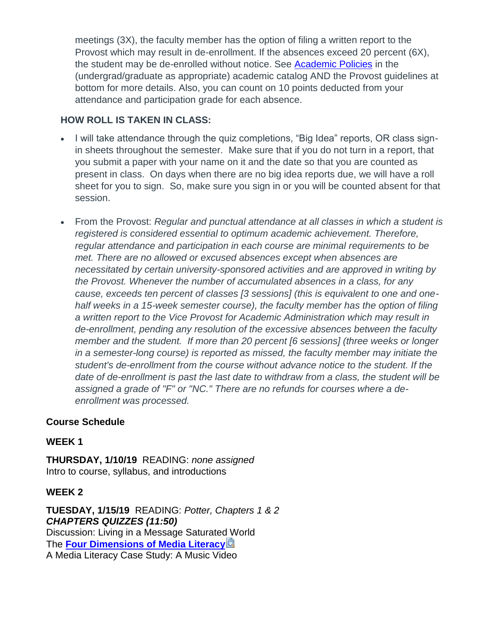meetings (3X), the faculty member has the option of filing a written report to the Provost which may result in de-enrollment. If the absences exceed 20 percent (6X), the student may be de-enrolled without notice. See [Academic Policies](http://catalog.pointloma.edu/content.php?catoid=8&navoid=864#Class_Attendance) in the (undergrad/graduate as appropriate) academic catalog AND the Provost guidelines at bottom for more details. Also, you can count on 10 points deducted from your attendance and participation grade for each absence.

#### **HOW ROLL IS TAKEN IN CLASS:**

- I will take attendance through the quiz completions, "Big Idea" reports, OR class signin sheets throughout the semester. Make sure that if you do not turn in a report, that you submit a paper with your name on it and the date so that you are counted as present in class. On days when there are no big idea reports due, we will have a roll sheet for you to sign. So, make sure you sign in or you will be counted absent for that session.
- From the Provost: *Regular and punctual attendance at all classes in which a student is registered is considered essential to optimum academic achievement. Therefore, regular attendance and participation in each course are minimal requirements to be met. There are no allowed or excused absences except when absences are necessitated by certain university-sponsored activities and are approved in writing by the Provost. Whenever the number of accumulated absences in a class, for any cause, exceeds ten percent of classes [3 sessions] (this is equivalent to one and onehalf weeks in a 15-week semester course), the faculty member has the option of filing a written report to the Vice Provost for Academic Administration which may result in de-enrollment, pending any resolution of the excessive absences between the faculty member and the student. If more than 20 percent [6 sessions] (three weeks or longer in a semester-long course) is reported as missed, the faculty member may initiate the student's de-enrollment from the course without advance notice to the student. If the date of de-enrollment is past the last date to withdraw from a class, the student will be assigned a grade of "F" or "NC." There are no refunds for courses where a deenrollment was processed.*

#### **Course Schedule**

#### **WEEK 1**

**THURSDAY, 1/10/19** READING: *none assigned* Intro to course, syllabus, and introductions

#### **WEEK 2**

**TUESDAY, 1/15/19** READING: *Potter, Chapters 1 & 2 CHAPTERS QUIZZES (11:50)* Discussion: Living in a Message Saturated World The **[Four Dimensions of Media Literacy](https://canvas.pointloma.edu/courses/42832/files/2301401/download?wrap=1)** A Media Literacy Case Study: A Music Video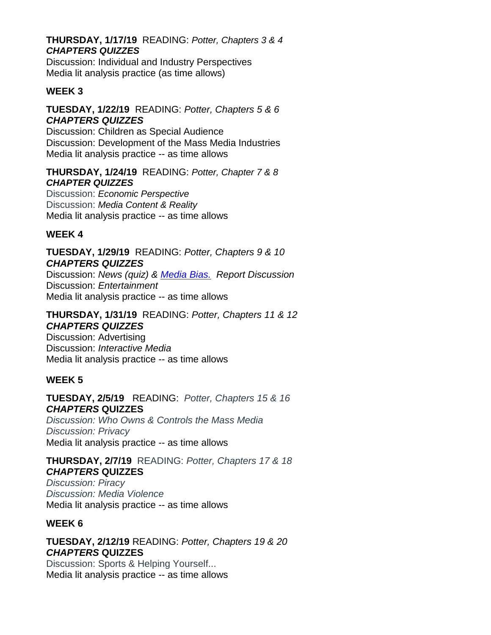#### **THURSDAY, 1/17/19** READING: *Potter, Chapters 3 & 4 CHAPTERS QUIZZES*

Discussion: Individual and Industry Perspectives Media lit analysis practice (as time allows)

#### **WEEK 3**

#### **TUESDAY, 1/22/19** READING: *Potter, Chapters 5 & 6 CHAPTERS QUIZZES*

Discussion: Children as Special Audience Discussion: Development of the Mass Media Industries Media lit analysis practice -- as time allows

#### **THURSDAY, 1/24/19** READING: *Potter, Chapter 7 & 8 CHAPTER QUIZZES*

Discussion: *Economic Perspective* Discussion: *Media Content & Reality* Media lit analysis practice -- as time allows

#### **WEEK 4**

**TUESDAY, 1/29/19** READING: *Potter, Chapters 9 & 10 CHAPTERS QUIZZES*

Discussion: *News (quiz) & [Media Bias.](https://www.studentnewsdaily.com/types-of-media-bias/) Report Discussion* Discussion: *Entertainment* Media lit analysis practice -- as time allows

# **THURSDAY, 1/31/19** READING: *Potter, Chapters 11 & 12*

#### *CHAPTERS QUIZZES*

Discussion: Advertising Discussion: *Interactive Media* Media lit analysis practice -- as time allows

#### **WEEK 5**

**TUESDAY, 2/5/19** READING: *Potter, Chapters 15 & 16 CHAPTERS* **QUIZZES**

*Discussion: Who Owns & Controls the Mass Media Discussion: Privacy* Media lit analysis practice -- as time allows

# **THURSDAY, 2/7/19** READING: *Potter, Chapters 17 & 18 CHAPTERS* **QUIZZES**

*Discussion: Piracy Discussion: Media Violence* Media lit analysis practice -- as time allows

#### **WEEK 6**

# **TUESDAY, 2/12/19** READING: *Potter, Chapters 19 & 20 CHAPTERS* **QUIZZES**

Discussion: Sports & Helping Yourself... Media lit analysis practice -- as time allows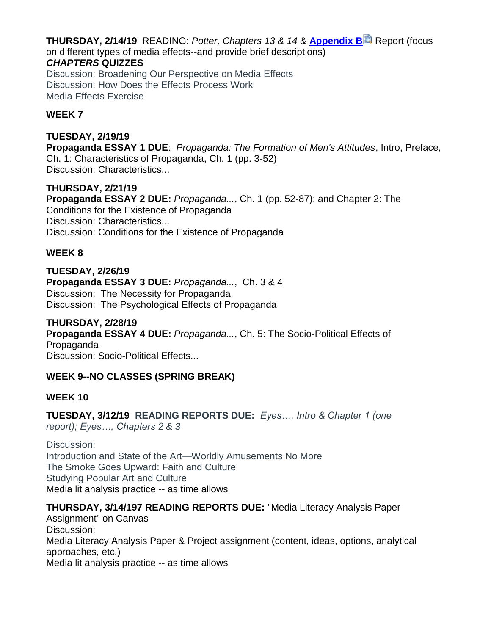**THURSDAY, 2/14/19** READING: *Potter, Chapters 13 & 14* & **[Appendix B](https://canvas.pointloma.edu/courses/42832/files/2301494/download?wrap=1)** Report (focus on different types of media effects--and provide brief descriptions) *CHAPTERS* **QUIZZES** Discussion: Broadening Our Perspective on Media Effects Discussion: How Does the Effects Process Work

Media Effects Exercise

#### **WEEK 7**

**TUESDAY, 2/19/19 Propaganda ESSAY 1 DUE**: *Propaganda: The Formation of Men's Attitudes*, Intro, Preface, Ch. 1: Characteristics of Propaganda, Ch. 1 (pp. 3-52) Discussion: Characteristics...

**THURSDAY, 2/21/19 Propaganda ESSAY 2 DUE:** *Propaganda...*, Ch. 1 (pp. 52-87); and Chapter 2: The Conditions for the Existence of Propaganda Discussion: Characteristics... Discussion: Conditions for the Existence of Propaganda

#### **WEEK 8**

**TUESDAY, 2/26/19 Propaganda ESSAY 3 DUE:** *Propaganda...*, Ch. 3 & 4 Discussion: The Necessity for Propaganda Discussion: The Psychological Effects of Propaganda

**THURSDAY, 2/28/19 Propaganda ESSAY 4 DUE:** *Propaganda...*, Ch. 5: The Socio-Political Effects of Propaganda Discussion: Socio-Political Effects...

#### **WEEK 9--NO CLASSES (SPRING BREAK)**

#### **WEEK 10**

**TUESDAY, 3/12/19 READING REPORTS DUE:** *Eyes…, Intro & Chapter 1 (one report); Eyes…, Chapters 2 & 3*

Discussion: Introduction and State of the Art—Worldly Amusements No More The Smoke Goes Upward: Faith and Culture Studying Popular Art and Culture Media lit analysis practice -- as time allows

#### **THURSDAY, 3/14/197 READING REPORTS DUE:** "Media Literacy Analysis Paper

Assignment" on Canvas Discussion: Media Literacy Analysis Paper & Project assignment (content, ideas, options, analytical approaches, etc.) Media lit analysis practice -- as time allows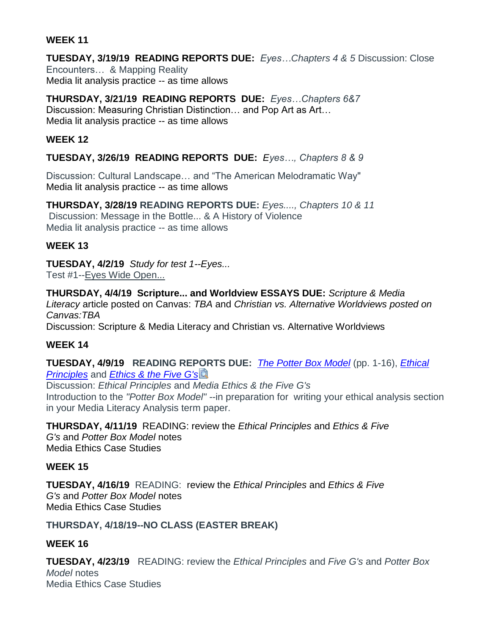#### **WEEK 11**

**TUESDAY, 3/19/19 READING REPORTS DUE:** *Eyes…Chapters 4 & 5* Discussion: Close Encounters… & Mapping Reality Media lit analysis practice -- as time allows

**THURSDAY, 3/21/19 READING REPORTS DUE:** *Eyes…Chapters 6&7* Discussion: Measuring Christian Distinction… and Pop Art as Art… Media lit analysis practice -- as time allows

#### **WEEK 12**

#### **TUESDAY, 3/26/19 READING REPORTS DUE:** *Eyes…, Chapters 8 & 9*

Discussion: Cultural Landscape… and "The American Melodramatic Way" Media lit analysis practice -- as time allows

**THURSDAY, 3/28/19 READING REPORTS DUE:** *Eyes...., Chapters 10 & 11* Discussion: Message in the Bottle... & A History of Violence Media lit analysis practice -- as time allows

#### **WEEK 13**

**TUESDAY, 4/2/19** *Study for test 1--Eyes...*

Test #1--Eyes Wide Open...

**THURSDAY, 4/4/19 Scripture... and Worldview ESSAYS DUE:** *Scripture & Media Literacy* article posted on Canvas: *TBA* and *Christian vs. Alternative Worldviews posted on Canvas:TBA* Discussion: Scripture & Media Literacy and Christian vs. Alternative Worldviews

#### **WEEK 14**

**TUESDAY, 4/9/19 READING REPORTS DUE:** *[The Potter Box Model](https://canvas.pointloma.edu/courses/42832/files/2336298/download?wrap=1)* (pp. 1-16), *[Ethical](https://canvas.pointloma.edu/courses/42832/files/2336307/download?wrap=1)  [Principles](https://canvas.pointloma.edu/courses/42832/files/2336307/download?wrap=1)* and *[Ethics & the Five G's](https://canvas.pointloma.edu/courses/42832/files/2301431/download?wrap=1)*

Discussion: *Ethical Principles* and *Media Ethics & the Five G's* Introduction to the *"Potter Box Model" -*-in preparation for writing your ethical analysis section in your Media Literacy Analysis term paper.

**THURSDAY, 4/11/19** READING: review the *Ethical Principles* and *Ethics & Five G's* and *Potter Box Model* notes Media Ethics Case Studies

#### **WEEK 15**

**TUESDAY, 4/16/19** READING: review the *Ethical Principles* and *Ethics & Five G's* and *Potter Box Model* notes Media Ethics Case Studies

#### **THURSDAY, 4/18/19--NO CLASS (EASTER BREAK)**

#### **WEEK 16**

**TUESDAY, 4/23/19** READING: review the *Ethical Principles* and *Five G's* and *Potter Box Model* notes Media Ethics Case Studies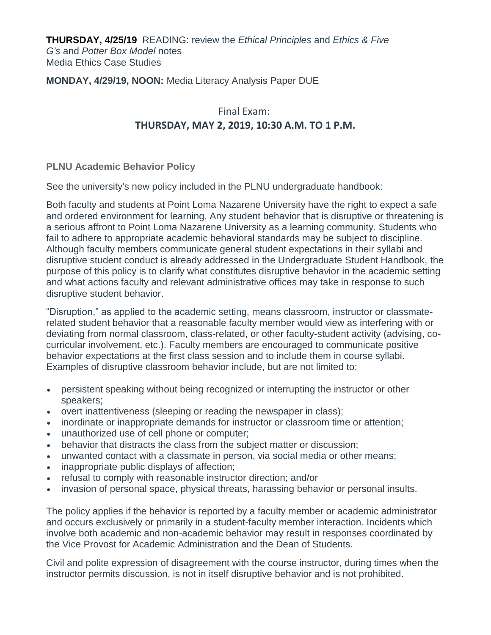**THURSDAY, 4/25/19** READING: review the *Ethical Principles* and *Ethics & Five G's* and *Potter Box Model* notes Media Ethics Case Studies

#### **MONDAY, 4/29/19, NOON:** Media Literacy Analysis Paper DUE

# Final Exam: **THURSDAY, MAY 2, 2019, 10:30 A.M. TO 1 P.M.**

**PLNU Academic Behavior Policy**

See the university's new policy included in the PLNU undergraduate handbook:

Both faculty and students at Point Loma Nazarene University have the right to expect a safe and ordered environment for learning. Any student behavior that is disruptive or threatening is a serious affront to Point Loma Nazarene University as a learning community. Students who fail to adhere to appropriate academic behavioral standards may be subject to discipline. Although faculty members communicate general student expectations in their syllabi and disruptive student conduct is already addressed in the Undergraduate Student Handbook, the purpose of this policy is to clarify what constitutes disruptive behavior in the academic setting and what actions faculty and relevant administrative offices may take in response to such disruptive student behavior.

"Disruption," as applied to the academic setting, means classroom, instructor or classmaterelated student behavior that a reasonable faculty member would view as interfering with or deviating from normal classroom, class-related, or other faculty-student activity (advising, cocurricular involvement, etc.). Faculty members are encouraged to communicate positive behavior expectations at the first class session and to include them in course syllabi. Examples of disruptive classroom behavior include, but are not limited to:

- persistent speaking without being recognized or interrupting the instructor or other speakers;
- overt inattentiveness (sleeping or reading the newspaper in class);
- inordinate or inappropriate demands for instructor or classroom time or attention;
- unauthorized use of cell phone or computer;
- behavior that distracts the class from the subject matter or discussion;
- unwanted contact with a classmate in person, via social media or other means;
- inappropriate public displays of affection;
- refusal to comply with reasonable instructor direction; and/or
- invasion of personal space, physical threats, harassing behavior or personal insults.

The policy applies if the behavior is reported by a faculty member or academic administrator and occurs exclusively or primarily in a student-faculty member interaction. Incidents which involve both academic and non-academic behavior may result in responses coordinated by the Vice Provost for Academic Administration and the Dean of Students.

Civil and polite expression of disagreement with the course instructor, during times when the instructor permits discussion, is not in itself disruptive behavior and is not prohibited.